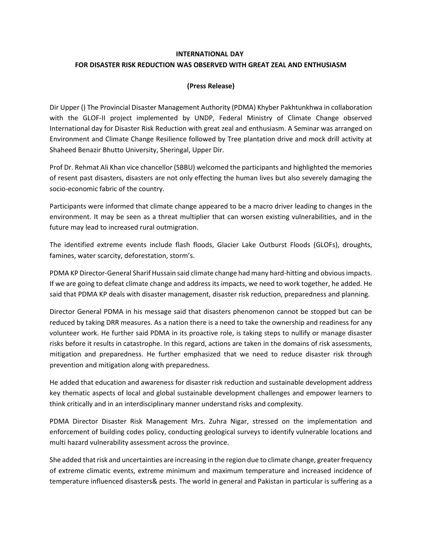## **INTERNATIONAL DAY FOR DISASTER RISK REDUCTION WAS OBSERVED WITH GREAT ZEAL AND ENTHUSIASM**

## **(Press Release)**

Dir Upper () The Provincial Disaster Management Authority (PDMA) Khyber Pakhtunkhwa in collaboration with the GLOF-II project implemented by UNDP, Federal Ministry of Climate Change observed International day for Disaster Risk Reduction with great zeal and enthusiasm. A Seminar was arranged on Environment and Climate Change Resilience followed by Tree plantation drive and mock drill activity at Shaheed Benazir Bhutto University, Sheringal, Upper Dir.

Prof Dr. Rehmat Ali Khan vice chancellor (SBBU) welcomed the participants and highlighted the memories of resent past disasters, disasters are not only effecting the human lives but also severely damaging the socio-economic fabric of the country.

Participants were informed that climate change appeared to be a macro driver leading to changes in the environment. It may be seen as a threat multiplier that can worsen existing vulnerabilities, and in the future may lead to increased rural outmigration.

The identified extreme events include flash floods, Glacier Lake Outburst Floods (GLOFs), droughts, famines, water scarcity, deforestation, storm's.

PDMA KP Director-General Sharif Hussain said climate change had many hard-hitting and obvious impacts. If we are going to defeat climate change and address its impacts, we need to work together, he added. He said that PDMA KP deals with disaster management, disaster risk reduction, preparedness and planning.

Director General PDMA in his message said that disasters phenomenon cannot be stopped but can be reduced by taking DRR measures. As a nation there is a need to take the ownership and readiness for any volunteer work. He further said PDMA in its proactive role, is taking steps to nullify or manage disaster risks before it results in catastrophe. In this regard, actions are taken in the domains of risk assessments, mitigation and preparedness. He further emphasized that we need to reduce disaster risk through prevention and mitigation along with preparedness.

He added that education and awareness for disaster risk reduction and sustainable development address key thematic aspects of local and global sustainable development challenges and empower learners to think critically and in an interdisciplinary manner understand risks and complexity.

PDMA Director Disaster Risk Management Mrs. Zuhra Nigar, stressed on the implementation and enforcement of building codes policy, conducting geological surveys to identify vulnerable locations and multi hazard vulnerability assessment across the province.

She added that risk and uncertainties are increasing in the region due to climate change, greater frequency of extreme climatic events, extreme minimum and maximum temperature and increased incidence of temperature influenced disasters& pests. The world in general and Pakistan in particular is suffering as a